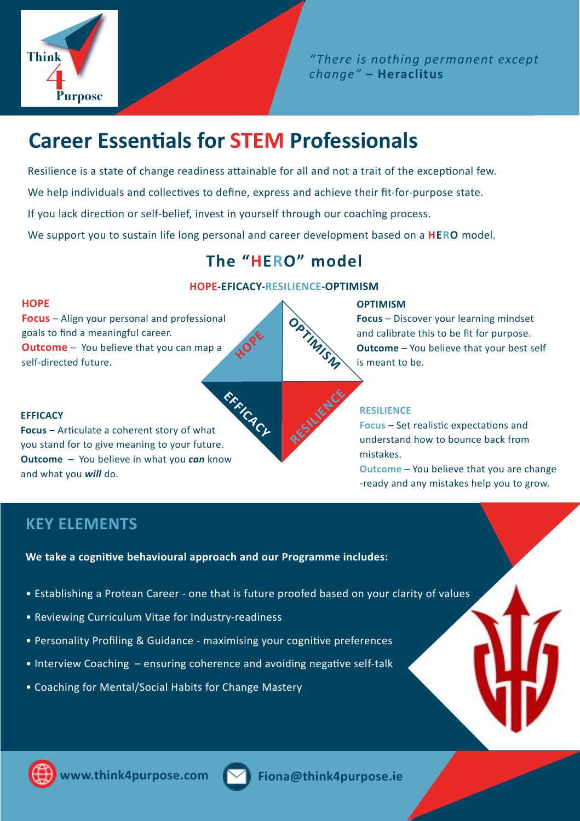

*" There is nothing permanent except change"* **– Heraclitus**

# **Career Essentials for STEM Professionals**

Resilience is a state of change readiness attainable for all and not a trait of the exceptional few.

We help individuals and collectives to define, express and achieve their fit-for-purpose state.

If you lack direction or self-belief, invest in yourself through our coaching process.

We support you to sustain life long personal and career development based on a **HERO** model.

# **The "HERO" model**

#### **HOPE-EFICACY-RESILIENCE-OPTIMISM**

**RESILIENCE** 

#### **HOPE**

**Focus** – Align your personal and professional goals to find a meaningful career. **Outcome** – You believe that you can map a Focus – Align your personal and professional<br>goals to find a meaningful career.<br>Self-directed future.

**EFFICACY Focus** – Articulate a coherent story of what you stand for to give meaning to your future. **Outcome** – You believe in what you *can* know and what you *will* do. **EFFICACY** 

#### **OPTIMISM**

**Focus** – Discover your learning mindset and calibrate this to be fit for purpose. **Outcome** – You believe that your best self is meant to be.

### **RESILIENCE**

**Focus** – Set realistic expectations and understand how to bounce back from mistakes.

**Outcome** – You believe that you are change -ready and any mistakes help you to grow.

## **KEY ELEMENTS**

**We take a cognitive behavioural approach and our Programme includes:**

- Establishing a Protean Career one that is future proofed based on your clarity of values
- Reviewing Curriculum Vitae for Industry-readiness
- Personality Profiling & Guidance maximising your cognitive preferences
- Interview Coaching ensuring coherence and avoiding negative self-talk
- Coaching for Mental/Social Habits for Change Mastery